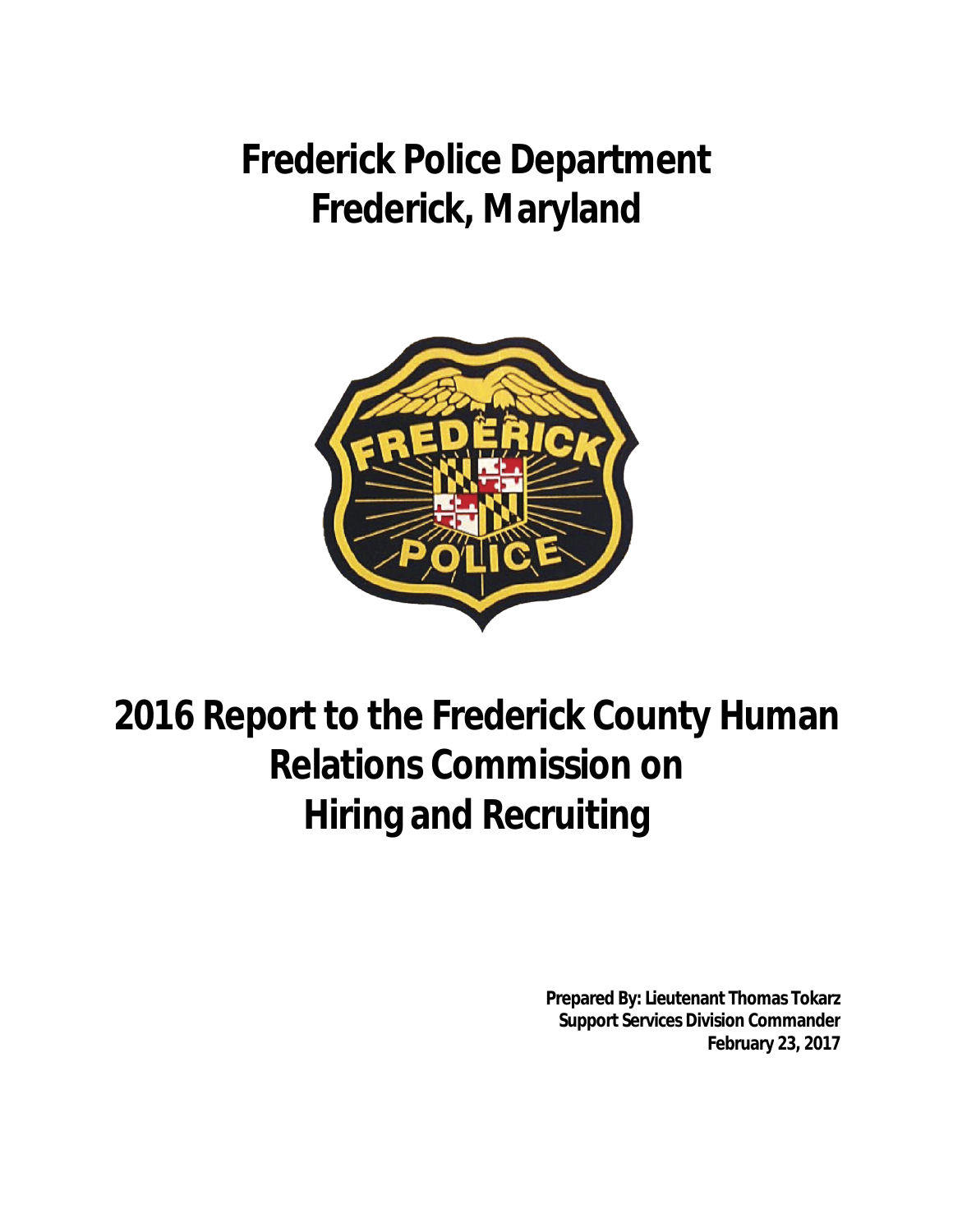**Frederick Police Department Frederick, Maryland**



# **2016 Report to the Frederick County Human Relations Commission on Hiring and Recruiting**

**Prepared By: Lieutenant Thomas Tokarz Support Services Division Commander February 23, 2017**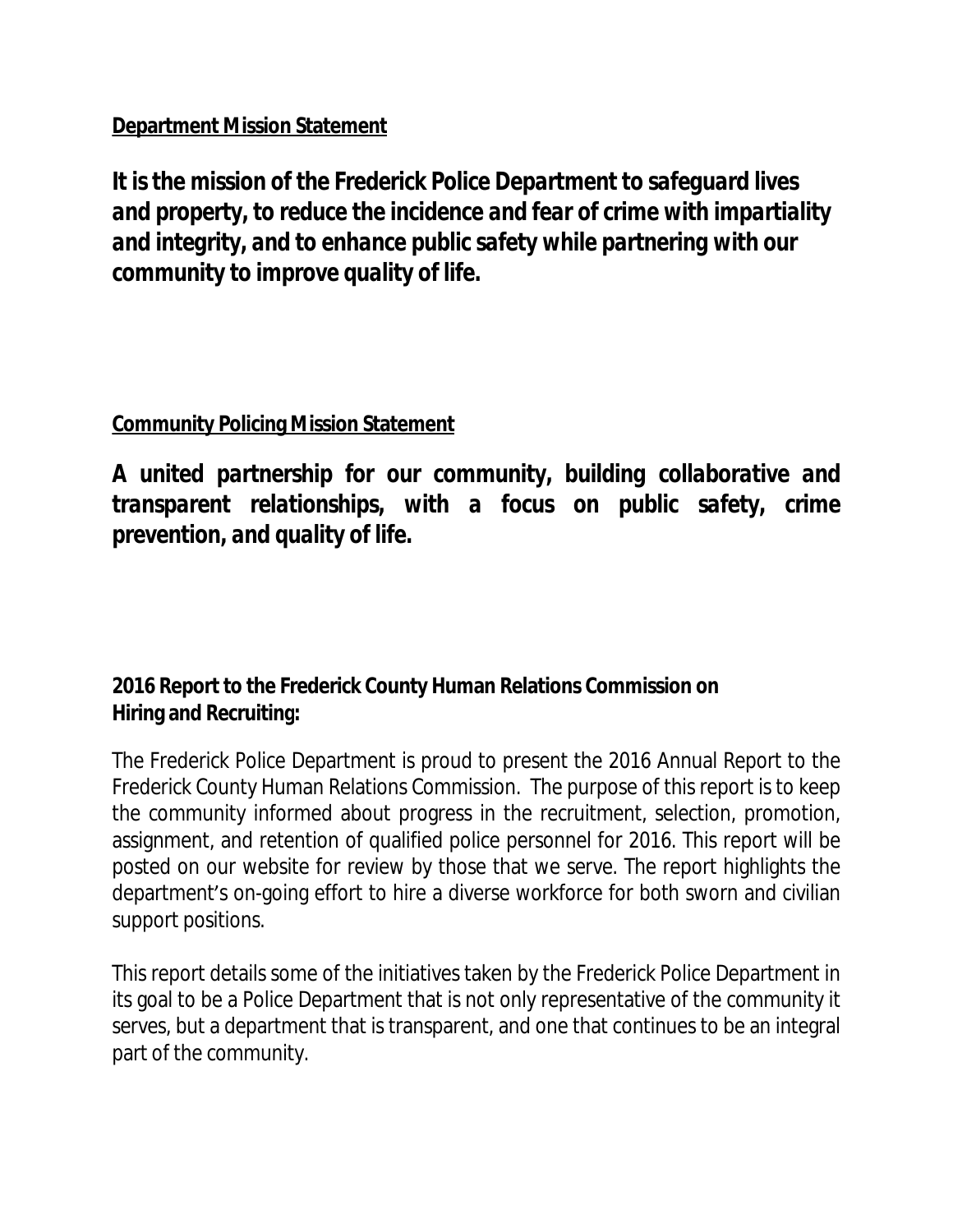# **Department Mission Statement**

*It isthe mission of the Frederick Police Department to safeguard lives and property, to reduce the incidence and fear of crime with impartiality and integrity, and to enhance public safety while partnering with our community to improve quality of life.*

# **Community Policing Mission Statement**

*A united partnership for our community, building collaborative and transparent relationships, with a focus on public safety, crime prevention, and quality of life.*

# **2016 Report to the Frederick County Human Relations Commission on Hiring and Recruiting:**

The Frederick Police Department is proud to present the 2016 Annual Report to the Frederick County Human Relations Commission. The purpose of this report is to keep the community informed about progress in the recruitment, selection, promotion, assignment, and retention of qualified police personnel for 2016. This report will be posted on our website for review by those that we serve. The report highlights the department's on-going effort to hire a diverse workforce for both sworn and civilian support positions.

This report details some of the initiatives taken by the Frederick Police Department in its goal to be a Police Department that is not only representative of the community it serves, but a department that is transparent, and one that continues to be an integral part of the community.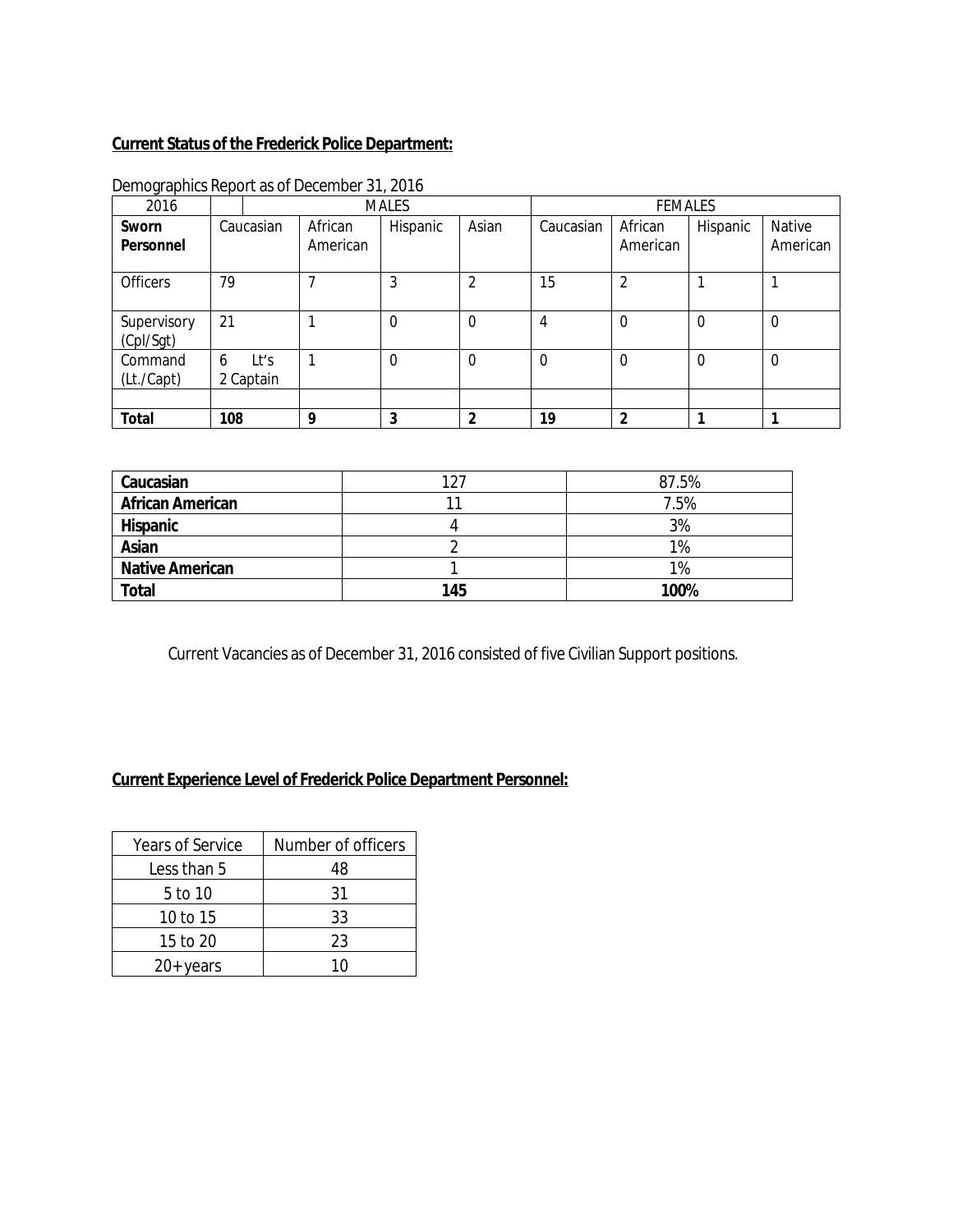# **Current Status of the Frederick Police Department:**

| 2016                     | <b>MALES</b> |                   |          | <b>FEMALES</b> |                |           |                |             |                |
|--------------------------|--------------|-------------------|----------|----------------|----------------|-----------|----------------|-------------|----------------|
| Sworn                    | Caucasian    |                   | African  | Hispanic       | Asian          | Caucasian | African        | Hispanic    | Native         |
| Personnel                |              |                   | American |                |                |           | American       |             | American       |
| <b>Officers</b>          | 79           |                   |          | 3              | $\overline{2}$ | 15        | $\overline{2}$ |             |                |
| Supervisory<br>(Cpl/Sgt) | 21           |                   |          | $\Omega$       | $\Omega$       | 4         | $\overline{0}$ | $\mathbf 0$ | $\overline{0}$ |
| Command<br>(Lt./Capt)    | 6            | Lt's<br>2 Captain |          | $\Omega$       | $\Omega$       | $\Omega$  | $\Omega$       | $\Omega$    | $\overline{0}$ |
|                          |              |                   |          |                |                |           |                |             |                |
| <b>Total</b>             | 108          |                   | q        | 3              | າ              | 19        | $\overline{2}$ |             |                |

Demographics Report as of December 31, 2016

| Caucasian               |     | 87.5% |
|-------------------------|-----|-------|
| <b>African American</b> |     | 7.5%  |
| <b>Hispanic</b>         |     | 3%    |
| Asian                   |     | 1%    |
| <b>Native American</b>  |     | 1%    |
| Total                   | 145 | 100%  |

Current Vacancies as of December 31, 2016 consisted of five Civilian Support positions.

# **Current Experience Level of Frederick Police Department Personnel:**

| <b>Years of Service</b> | Number of officers |
|-------------------------|--------------------|
| Less than 5             | 48                 |
| 5 to 10                 | 31                 |
| 10 to 15                | 33                 |
| 15 to 20                | 23                 |
| $20+$ years             | 10                 |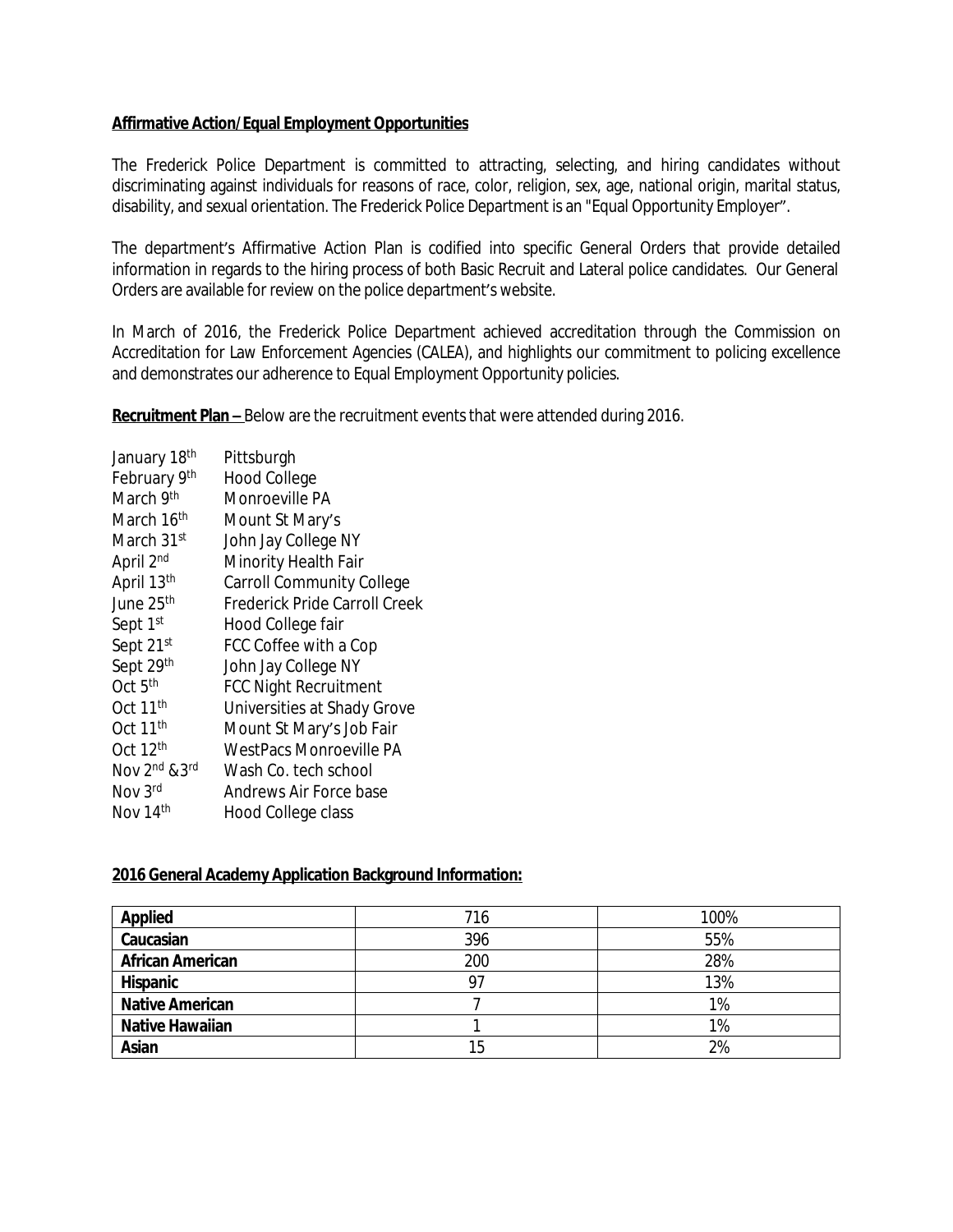### **Affirmative Action/Equal Employment Opportunities**

The Frederick Police Department is committed to attracting, selecting, and hiring candidates without discriminating against individuals for reasons of race, color, religion, sex, age, national origin, marital status, disability, and sexual orientation. The Frederick Police Department is an "Equal Opportunity Employer".

The department's Affirmative Action Plan is codified into specific General Orders that provide detailed information in regards to the hiring process of both Basic Recruit and Lateral police candidates. Our General Orders are available for review on the police department's website.

In March of 2016, the Frederick Police Department achieved accreditation through the Commission on Accreditation for Law Enforcement Agencies (CALEA), and highlights our commitment to policing excellence and demonstrates our adherence to Equal Employment Opportunity policies.

**Recruitment Plan –** Below are the recruitment events that were attended during 2016.

| January 18 <sup>th</sup> | Pittsburgh                       |
|--------------------------|----------------------------------|
| February 9th             | <b>Hood College</b>              |
| March 9th                | Monroeville PA                   |
| March 16th               | Mount St Mary's                  |
| March 31st               | John Jay College NY              |
| April 2nd                | Minority Health Fair             |
| April 13th               | <b>Carroll Community College</b> |
| June 25 <sup>th</sup>    | Frederick Pride Carroll Creek    |
| Sept 1st                 | Hood College fair                |
| Sept 21st                | FCC Coffee with a Cop            |
| Sept 29th                | John Jay College NY              |
| Oct 5 <sup>th</sup>      | <b>FCC Night Recruitment</b>     |
| Oct 11 <sup>th</sup>     | Universities at Shady Grove      |
| Oct 11 <sup>th</sup>     | Mount St Mary's Job Fair         |
| Oct 12 <sup>th</sup>     | WestPacs Monroeville PA          |
| Nov 2nd & 3rd            | Wash Co. tech school             |
| Nov 3rd                  | Andrews Air Force base           |
| Nov 14th                 | Hood College class               |

#### **2016 General Academy Application Background Information:**

| <b>Applied</b>          | 716 | 100% |
|-------------------------|-----|------|
| Caucasian               | 396 | 55%  |
| <b>African American</b> | 200 | 28%  |
| <b>Hispanic</b>         | 97  | 13%  |
| <b>Native American</b>  |     | 1%   |
| <b>Native Hawaiian</b>  |     | 1%   |
| Asian                   | 15  | 2%   |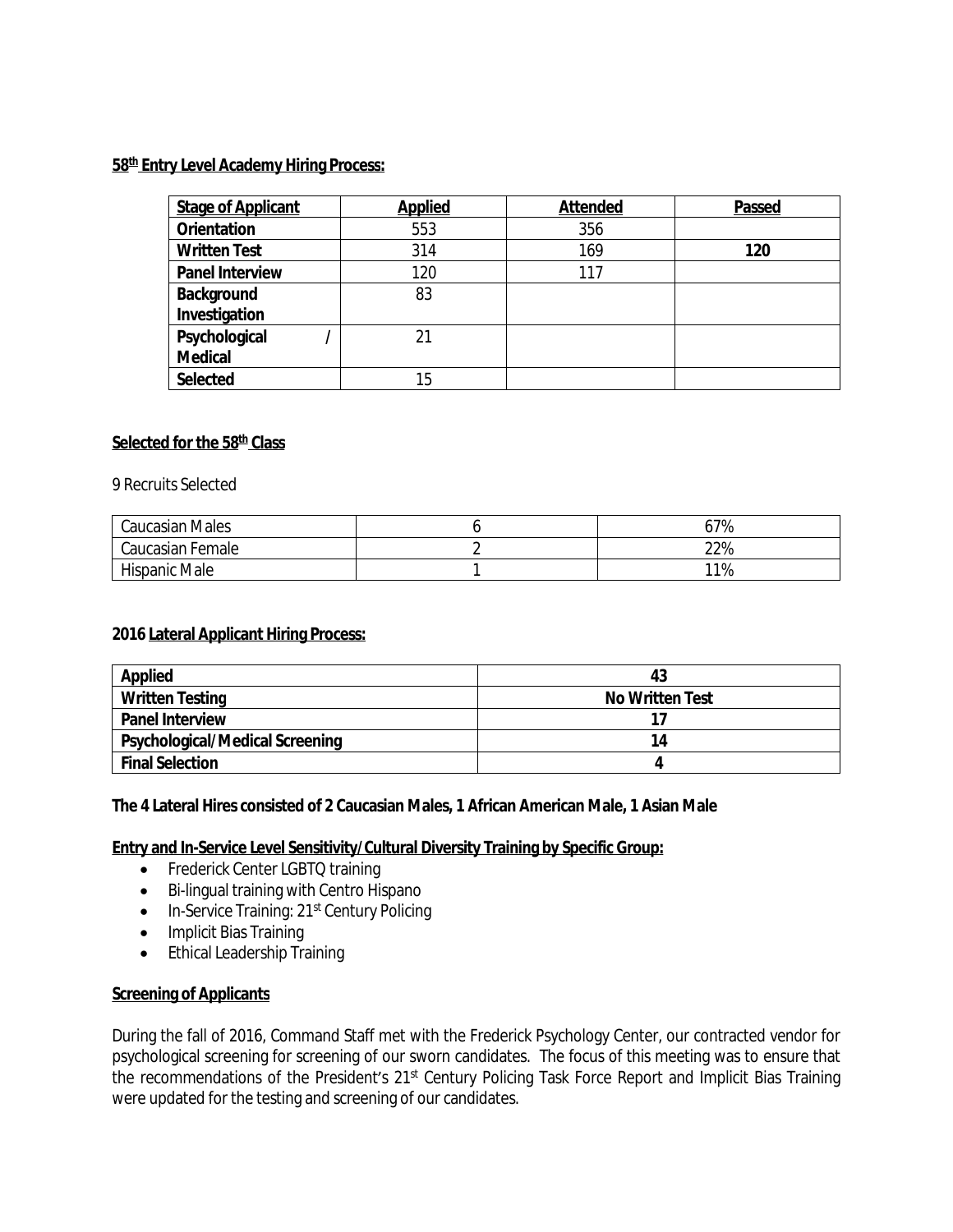# **58 th Entry Level Academy Hiring Process:**

| <b>Stage of Applicant</b> | <b>Applied</b> | <b>Attended</b> | Passed |
|---------------------------|----------------|-----------------|--------|
| <b>Orientation</b>        | 553            | 356             |        |
| <b>Written Test</b>       | 314            | 169             | 120    |
| <b>Panel Interview</b>    | 120            | 117             |        |
| Background                | 83             |                 |        |
| Investigation             |                |                 |        |
| Psychological             | 21             |                 |        |
| <b>Medical</b>            |                |                 |        |
| Selected                  | 15             |                 |        |

## **Selected for the 58 th Class**

9 Recruits Selected

| <b>Caucasian Males</b> | 67% |
|------------------------|-----|
| Caucasian Female       | 22% |
| Hispanic Male          | 11% |

#### **2016 Lateral Applicant Hiring Process:**

| <b>Applied</b>                         | 43                     |
|----------------------------------------|------------------------|
| <b>Written Testing</b>                 | <b>No Written Test</b> |
| <b>Panel Interview</b>                 |                        |
| <b>Psychological/Medical Screening</b> | 14                     |
| <b>Final Selection</b>                 |                        |

#### **The 4 Lateral Hires consisted of 2 Caucasian Males, 1 African American Male, 1 Asian Male**

#### **Entry and In-Service Level Sensitivity/Cultural Diversity Training by Specific Group:**

- Frederick Center LGBTQ training
- Bi-lingual training with Centro Hispano
- In-Service Training: 21<sup>st</sup> Century Policing
- Implicit Bias Training
- Ethical Leadership Training

#### **Screening of Applicants**

During the fall of 2016, Command Staff met with the Frederick Psychology Center, our contracted vendor for psychological screening for screening of our sworn candidates. The focus of this meeting was to ensure that the recommendations of the President's 21<sup>st</sup> Century Policing Task Force Report and Implicit Bias Training were updated for the testing and screening of our candidates.